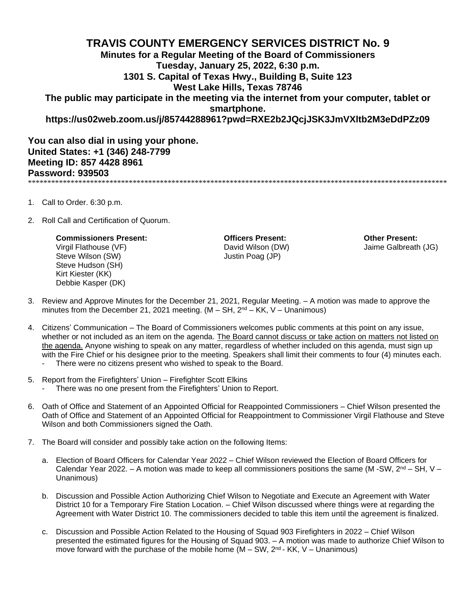## **TRAVIS COUNTY EMERGENCY SERVICES DISTRICT No. 9 Minutes for a Regular Meeting of the Board of Commissioners Tuesday, January 25, 2022, 6:30 p.m. 1301 S. Capital of Texas Hwy., Building B, Suite 123 West Lake Hills, Texas 78746 The public may participate in the meeting via the internet from your computer, tablet or smartphone. https://us02web.zoom.us/j/85744288961?pwd=RXE2b2JQcjJSK3JmVXltb2M3eDdPZz09**

**You can also dial in using your phone. United States: +1 (346) 248-7799 Meeting ID: 857 4428 8961 Password: 939503** \*\*\*\*\*\*\*\*\*\*\*\*\*\*\*\*\*\*\*\*\*\*\*\*\*\*\*\*\*\*\*\*\*\*\*\*\*\*\*\*\*\*\*\*\*\*\*\*\*\*\*\*\*\*\*\*\*\*\*\*\*\*\*\*\*\*\*\*\*\*\*\*\*\*\*\*\*\*\*\*\*\*\*\*\*\*\*\*\*\*\*\*\*\*\*\*\*\*\*\*\*\*\*\*\*\*\*\*

- 1. Call to Order. 6:30 p.m.
- 2. Roll Call and Certification of Quorum.

## **Commissioners Present: Officers Present: Other Present:**

Steve Wilson (SW) Steve Wilson (SW) Steve Hudson (SH) Kirt Kiester (KK) Debbie Kasper (DK)

Virgil Flathouse (VF) David Wilson (DW) Jaime Galbreath (JG)

- 3. Review and Approve Minutes for the December 21, 2021, Regular Meeting. A motion was made to approve the minutes from the December 21, 2021 meeting.  $(M - SH, 2<sup>nd</sup> - KK, V - Unanimous)$
- 4. Citizens' Communication The Board of Commissioners welcomes public comments at this point on any issue, whether or not included as an item on the agenda. The Board cannot discuss or take action on matters not listed on the agenda. Anyone wishing to speak on any matter, regardless of whether included on this agenda, must sign up with the Fire Chief or his designee prior to the meeting. Speakers shall limit their comments to four (4) minutes each.
	- There were no citizens present who wished to speak to the Board.
- 5. Report from the Firefighters' Union Firefighter Scott Elkins
	- There was no one present from the Firefighters' Union to Report.
- 6. Oath of Office and Statement of an Appointed Official for Reappointed Commissioners Chief Wilson presented the Oath of Office and Statement of an Appointed Official for Reappointment to Commissioner Virgil Flathouse and Steve Wilson and both Commissioners signed the Oath.
- 7. The Board will consider and possibly take action on the following Items:
	- a. Election of Board Officers for Calendar Year 2022 Chief Wilson reviewed the Election of Board Officers for Calendar Year 2022. – A motion was made to keep all commissioners positions the same (M -SW,  $2^{nd}$  – SH, V – Unanimous)
	- b. Discussion and Possible Action Authorizing Chief Wilson to Negotiate and Execute an Agreement with Water District 10 for a Temporary Fire Station Location. – Chief Wilson discussed where things were at regarding the Agreement with Water District 10. The commissioners decided to table this item until the agreement is finalized.
	- c. Discussion and Possible Action Related to the Housing of Squad 903 Firefighters in 2022 Chief Wilson presented the estimated figures for the Housing of Squad 903. – A motion was made to authorize Chief Wilson to move forward with the purchase of the mobile home  $(M - SW, 2<sup>nd</sup> - KK, V - Unanimous)$